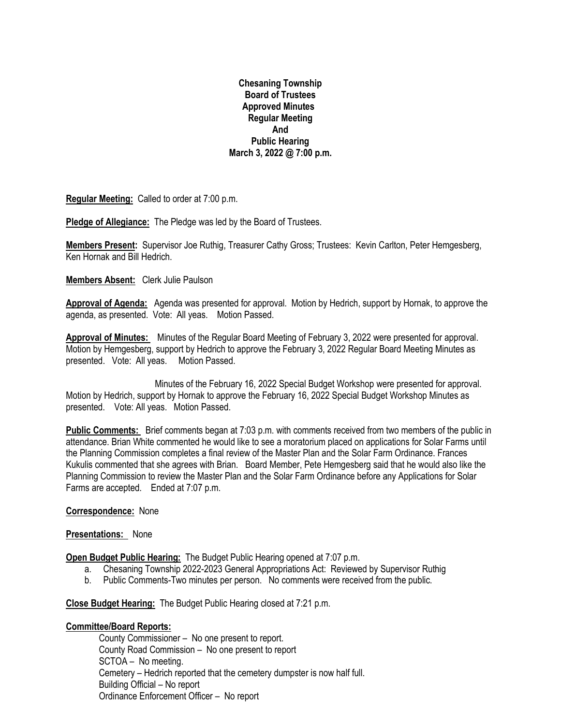**Chesaning Township Board of Trustees Approved Minutes Regular Meeting And Public Hearing March 3, 2022 @ 7:00 p.m.**

**Regular Meeting:** Called to order at 7:00 p.m.

**Pledge of Allegiance:** The Pledge was led by the Board of Trustees.

**Members Present:** Supervisor Joe Ruthig, Treasurer Cathy Gross; Trustees: Kevin Carlton, Peter Hemgesberg, Ken Hornak and Bill Hedrich.

## **Members Absent:** Clerk Julie Paulson

**Approval of Agenda:** Agenda was presented for approval. Motion by Hedrich, support by Hornak, to approve the agenda, as presented. Vote: All yeas. Motion Passed.

**Approval of Minutes:** Minutes of the Regular Board Meeting of February 3, 2022 were presented for approval. Motion by Hemgesberg, support by Hedrich to approve the February 3, 2022 Regular Board Meeting Minutes as presented. Vote: All yeas. Motion Passed.

 Minutes of the February 16, 2022 Special Budget Workshop were presented for approval. Motion by Hedrich, support by Hornak to approve the February 16, 2022 Special Budget Workshop Minutes as presented. Vote: All yeas. Motion Passed.

**Public Comments:** Brief comments began at 7:03 p.m. with comments received from two members of the public in attendance. Brian White commented he would like to see a moratorium placed on applications for Solar Farms until the Planning Commission completes a final review of the Master Plan and the Solar Farm Ordinance. Frances Kukulis commented that she agrees with Brian. Board Member, Pete Hemgesberg said that he would also like the Planning Commission to review the Master Plan and the Solar Farm Ordinance before any Applications for Solar Farms are accepted. Ended at 7:07 p.m.

## **Correspondence:** None

## **Presentations:** None

**Open Budget Public Hearing:** The Budget Public Hearing opened at 7:07 p.m.

- a. Chesaning Township 2022-2023 General Appropriations Act: Reviewed by Supervisor Ruthig
- b. Public Comments-Two minutes per person. No comments were received from the public.

**Close Budget Hearing:** The Budget Public Hearing closed at 7:21 p.m.

## **Committee/Board Reports:**

County Commissioner – No one present to report. County Road Commission – No one present to report SCTOA – No meeting. Cemetery – Hedrich reported that the cemetery dumpster is now half full. Building Official – No report Ordinance Enforcement Officer – No report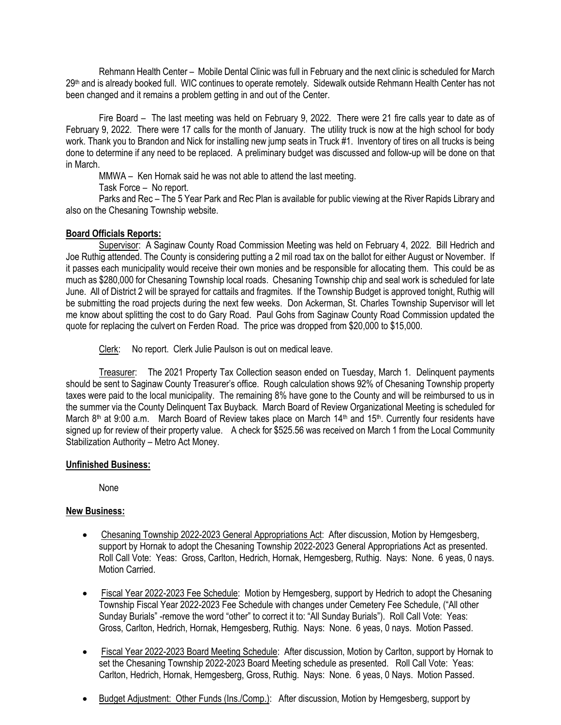Rehmann Health Center – Mobile Dental Clinic was full in February and the next clinic is scheduled for March 29th and is already booked full. WIC continues to operate remotely. Sidewalk outside Rehmann Health Center has not been changed and it remains a problem getting in and out of the Center.

Fire Board – The last meeting was held on February 9, 2022. There were 21 fire calls year to date as of February 9, 2022. There were 17 calls for the month of January. The utility truck is now at the high school for body work. Thank you to Brandon and Nick for installing new jump seats in Truck #1. Inventory of tires on all trucks is being done to determine if any need to be replaced. A preliminary budget was discussed and follow-up will be done on that in March.

MMWA – Ken Hornak said he was not able to attend the last meeting.

Task Force – No report.

Parks and Rec – The 5 Year Park and Rec Plan is available for public viewing at the River Rapids Library and also on the Chesaning Township website.

# **Board Officials Reports:**

Supervisor: A Saginaw County Road Commission Meeting was held on February 4, 2022. Bill Hedrich and Joe Ruthig attended. The County is considering putting a 2 mil road tax on the ballot for either August or November. If it passes each municipality would receive their own monies and be responsible for allocating them. This could be as much as \$280,000 for Chesaning Township local roads. Chesaning Township chip and seal work is scheduled for late June. All of District 2 will be sprayed for cattails and fragmites. If the Township Budget is approved tonight, Ruthig will be submitting the road projects during the next few weeks. Don Ackerman, St. Charles Township Supervisor will let me know about splitting the cost to do Gary Road. Paul Gohs from Saginaw County Road Commission updated the quote for replacing the culvert on Ferden Road. The price was dropped from \$20,000 to \$15,000.

Clerk: No report. Clerk Julie Paulson is out on medical leave.

Treasurer: The 2021 Property Tax Collection season ended on Tuesday, March 1. Delinquent payments should be sent to Saginaw County Treasurer's office. Rough calculation shows 92% of Chesaning Township property taxes were paid to the local municipality. The remaining 8% have gone to the County and will be reimbursed to us in the summer via the County Delinquent Tax Buyback. March Board of Review Organizational Meeting is scheduled for March 8<sup>th</sup> at 9:00 a.m. March Board of Review takes place on March 14<sup>th</sup> and 15<sup>th</sup>. Currently four residents have signed up for review of their property value. A check for \$525.56 was received on March 1 from the Local Community Stabilization Authority – Metro Act Money.

# **Unfinished Business:**

None

# **New Business:**

- Chesaning Township 2022-2023 General Appropriations Act: After discussion, Motion by Hemgesberg, support by Hornak to adopt the Chesaning Township 2022-2023 General Appropriations Act as presented. Roll Call Vote: Yeas: Gross, Carlton, Hedrich, Hornak, Hemgesberg, Ruthig. Nays: None. 6 yeas, 0 nays. Motion Carried.
- Fiscal Year 2022-2023 Fee Schedule: Motion by Hemgesberg, support by Hedrich to adopt the Chesaning Township Fiscal Year 2022-2023 Fee Schedule with changes under Cemetery Fee Schedule, ("All other Sunday Burials" -remove the word "other" to correct it to: "All Sunday Burials"). Roll Call Vote: Yeas: Gross, Carlton, Hedrich, Hornak, Hemgesberg, Ruthig. Nays: None. 6 yeas, 0 nays. Motion Passed.
- Fiscal Year 2022-2023 Board Meeting Schedule: After discussion, Motion by Carlton, support by Hornak to set the Chesaning Township 2022-2023 Board Meeting schedule as presented. Roll Call Vote: Yeas: Carlton, Hedrich, Hornak, Hemgesberg, Gross, Ruthig. Nays: None. 6 yeas, 0 Nays. Motion Passed.
- Budget Adjustment: Other Funds (Ins./Comp.): After discussion, Motion by Hemgesberg, support by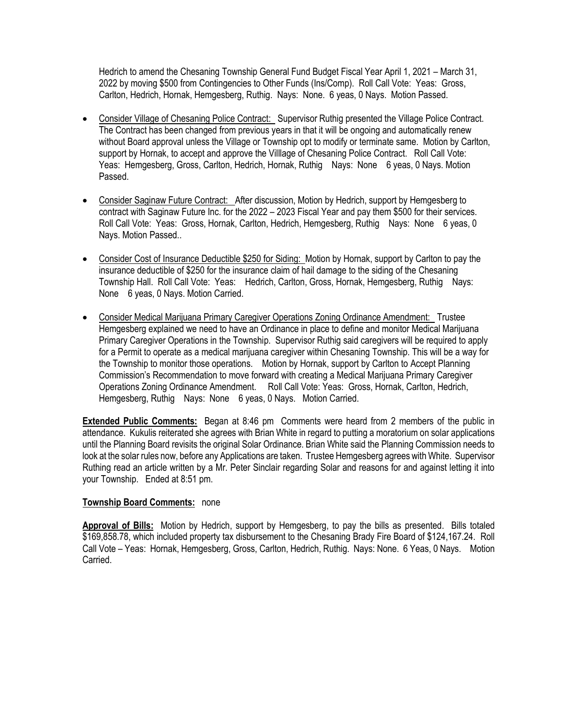Hedrich to amend the Chesaning Township General Fund Budget Fiscal Year April 1, 2021 – March 31, 2022 by moving \$500 from Contingencies to Other Funds (Ins/Comp). Roll Call Vote: Yeas: Gross, Carlton, Hedrich, Hornak, Hemgesberg, Ruthig. Nays: None. 6 yeas, 0 Nays. Motion Passed.

- Consider Village of Chesaning Police Contract: Supervisor Ruthig presented the Village Police Contract. The Contract has been changed from previous years in that it will be ongoing and automatically renew without Board approval unless the Village or Township opt to modify or terminate same. Motion by Carlton, support by Hornak, to accept and approve the Villlage of Chesaning Police Contract. Roll Call Vote: Yeas: Hemgesberg, Gross, Carlton, Hedrich, Hornak, Ruthig Nays: None 6 yeas, 0 Nays. Motion Passed.
- Consider Saginaw Future Contract: After discussion, Motion by Hedrich, support by Hemgesberg to contract with Saginaw Future Inc. for the 2022 – 2023 Fiscal Year and pay them \$500 for their services. Roll Call Vote: Yeas: Gross, Hornak, Carlton, Hedrich, Hemgesberg, Ruthig Nays: None 6 yeas, 0 Nays. Motion Passed..
- Consider Cost of Insurance Deductible \$250 for Siding: Motion by Hornak, support by Carlton to pay the insurance deductible of \$250 for the insurance claim of hail damage to the siding of the Chesaning Township Hall. Roll Call Vote: Yeas: Hedrich, Carlton, Gross, Hornak, Hemgesberg, Ruthig Nays: None 6 yeas, 0 Nays. Motion Carried.
- Consider Medical Marijuana Primary Caregiver Operations Zoning Ordinance Amendment: Trustee Hemgesberg explained we need to have an Ordinance in place to define and monitor Medical Marijuana Primary Caregiver Operations in the Township. Supervisor Ruthig said caregivers will be required to apply for a Permit to operate as a medical marijuana caregiver within Chesaning Township. This will be a way for the Township to monitor those operations. Motion by Hornak, support by Carlton to Accept Planning Commission's Recommendation to move forward with creating a Medical Marijuana Primary Caregiver Operations Zoning Ordinance Amendment. Roll Call Vote: Yeas: Gross, Hornak, Carlton, Hedrich, Hemgesberg, Ruthig Nays: None 6 yeas, 0 Nays. Motion Carried.

**Extended Public Comments:** Began at 8:46 pm Comments were heard from 2 members of the public in attendance. Kukulis reiterated she agrees with Brian White in regard to putting a moratorium on solar applications until the Planning Board revisits the original Solar Ordinance. Brian White said the Planning Commission needs to look at the solar rules now, before any Applications are taken. Trustee Hemgesberg agrees with White. Supervisor Ruthing read an article written by a Mr. Peter Sinclair regarding Solar and reasons for and against letting it into your Township. Ended at 8:51 pm.

## **Township Board Comments:** none

**Approval of Bills:** Motion by Hedrich, support by Hemgesberg, to pay the bills as presented. Bills totaled \$169,858.78, which included property tax disbursement to the Chesaning Brady Fire Board of \$124,167.24. Roll Call Vote – Yeas: Hornak, Hemgesberg, Gross, Carlton, Hedrich, Ruthig. Nays: None. 6 Yeas, 0 Nays. Motion Carried.